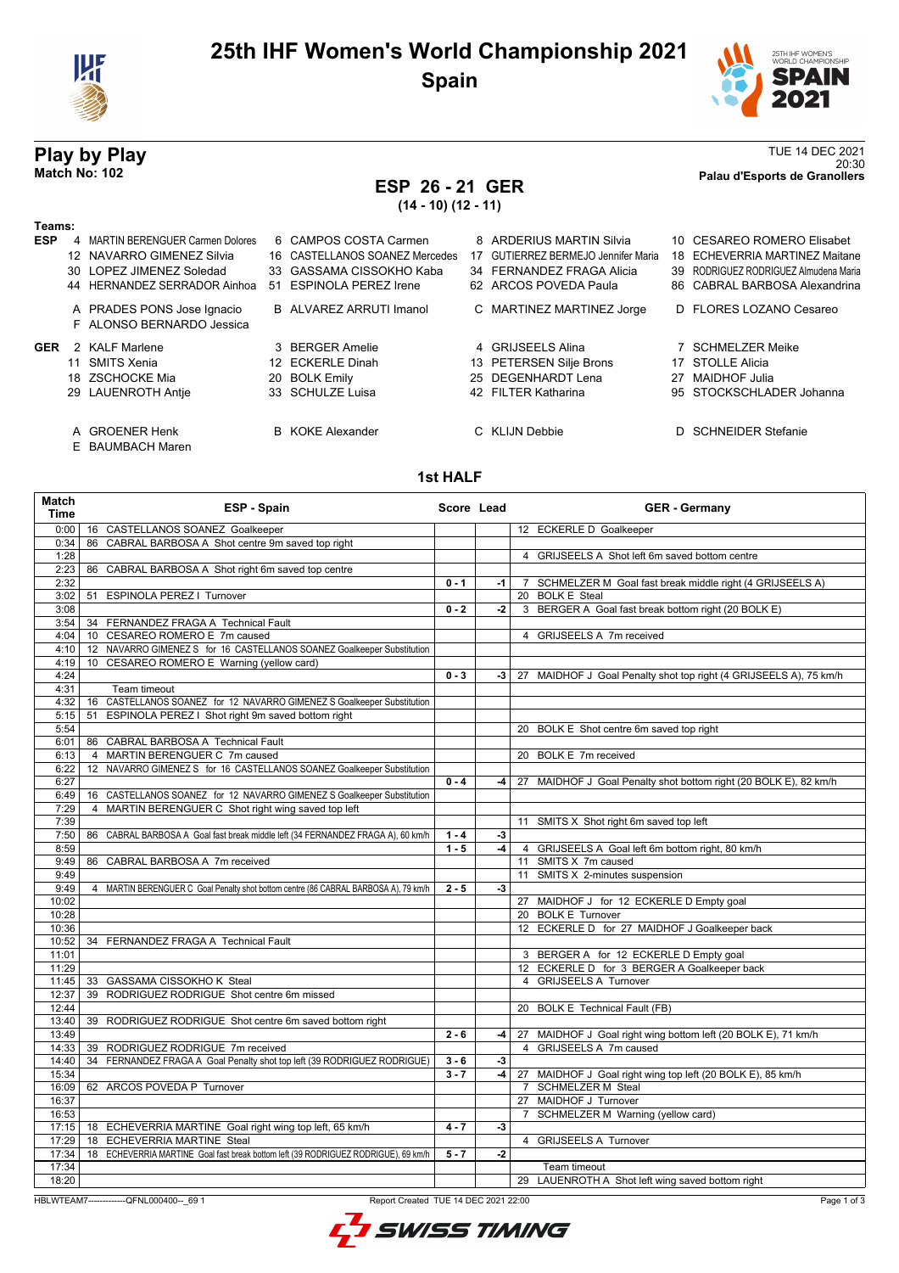



20:30 **Match No: 102 Palau d'Esports de Granollers**

# **Play by Play**<br>Match No: 102<br>Palau d'Esports de Granollers<br>Palau d'Esports de Granollers

## **ESP 26 - 21 GER**

**(14 - 10) (12 - 11)**

| Teams:     |                                                         |                                |    |                                         |    |                                       |
|------------|---------------------------------------------------------|--------------------------------|----|-----------------------------------------|----|---------------------------------------|
| <b>ESP</b> | 4 MARTIN BERENGUER Carmen Dolores                       | 6 CAMPOS COSTA Carmen          |    | 8 ARDERIUS MARTIN Silvia                |    | 10 CESAREO ROMERO Elisabet            |
|            | 12 NAVARRO GIMENEZ Silvia                               | 16 CASTELLANOS SOANEZ Mercedes | 17 | <b>GUTIERREZ BERMEJO Jennifer Maria</b> |    | 18 ECHEVERRIA MARTINEZ Maitane        |
|            | 30 LOPEZ JIMENEZ Soledad                                | 33 GASSAMA CISSOKHO Kaba       |    | 34 FERNANDEZ FRAGA Alicia               |    | 39 RODRIGUEZ RODRIGUEZ Almudena Maria |
|            | 44 HERNANDEZ SERRADOR Ainhoa                            | 51 ESPINOLA PEREZ Irene        |    | 62 ARCOS POVEDA Paula                   |    | 86 CABRAL BARBOSA Alexandrina         |
|            | A PRADES PONS Jose Ignacio<br>F ALONSO BERNARDO Jessica | B ALVAREZ ARRUTI Imanol        |    | C MARTINEZ MARTINEZ Jorge               |    | D FLORES LOZANO Cesareo               |
| <b>GER</b> | 2 KALF Marlene                                          | 3 BERGER Amelie                |    | 4 GRIJSEELS Alina                       |    | <b>SCHMELZER Meike</b>                |
|            | 11 SMITS Xenia                                          | 12 ECKERLE Dinah               |    | 13 PETERSEN Silje Brons                 |    | 17 STOLLE Alicia                      |
|            | 18 ZSCHOCKE Mia                                         | 20 BOLK Emily                  |    | 25 DEGENHARDT Lena                      | 27 | MAIDHOF Julia                         |
|            | 29 LAUENROTH Antie                                      | 33 SCHULZE Luisa               |    | 42 FILTER Katharina                     |    | 95 STOCKSCHLADER Johanna              |
|            | A GROENER Henk                                          | <b>B</b> KOKE Alexander        |    | C KLIJN Debbie                          |    | D SCHNEIDER Stefanie                  |

E BAUMBACH Maren

#### **1st HALF**

| 16 CASTELLANOS SOANEZ Goalkeeper<br>12 ECKERLE D Goalkeeper<br>0:00<br>CABRAL BARBOSA A Shot centre 9m saved top right<br>0:34<br>86<br>1:28<br>4 GRIJSEELS A Shot left 6m saved bottom centre<br>2:23<br>86 CABRAL BARBOSA A Shot right 6m saved top centre<br>2:32<br>$0 - 1$<br>7 SCHMELZER M Goal fast break middle right (4 GRIJSEELS A)<br>$-1$<br>51 ESPINOLA PEREZ   Turnover<br>20 BOLK E Steal<br>3:02<br>$0 - 2$<br>3 BERGER A Goal fast break bottom right (20 BOLK E)<br>3:08<br>$-2$<br>3:54<br>34 FERNANDEZ FRAGA A Technical Fault<br>CESAREO ROMERO E 7m caused<br>4 GRIJSEELS A 7m received<br>4:04<br>10<br>12 NAVARRO GIMENEZ S for 16 CASTELLANOS SOANEZ Goalkeeper Substitution<br>4:10<br>CESAREO ROMERO E Warning (yellow card)<br>4:19<br>10<br>4:24<br>$0 - 3$<br>-3   27 MAIDHOF J Goal Penalty shot top right (4 GRIJSEELS A), 75 km/h<br>4:31<br>Team timeout<br>4:32<br>CASTELLANOS SOANEZ for 12 NAVARRO GIMENEZ S Goalkeeper Substitution<br>16<br>ESPINOLA PEREZ I Shot right 9m saved bottom right<br>5:15<br>51<br>5:54<br>20 BOLK E Shot centre 6m saved top right<br>86 CABRAL BARBOSA A Technical Fault<br>6:01<br>4 MARTIN BERENGUER C 7m caused<br>20 BOLK E 7m received<br>6:13<br>6:22<br>12 NAVARRO GIMENEZ S for 16 CASTELLANOS SOANEZ Goalkeeper Substitution<br>6:27<br>$0 - 4$<br>$-4$<br>27 MAIDHOF J Goal Penalty shot bottom right (20 BOLK E), 82 km/h<br>16 CASTELLANOS SOANEZ for 12 NAVARRO GIMENEZ S Goalkeeper Substitution<br>6:49<br>4 MARTIN BERENGUER C Shot right wing saved top left<br>7:29<br>7:39<br>11 SMITS X Shot right 6m saved top left<br>7:50<br>86 CABRAL BARBOSA A Goal fast break middle left (34 FERNANDEZ FRAGA A), 60 km/h<br>$1 - 4$<br>$-3$<br>8:59<br>$1 - 5$<br>$-4$<br>4 GRIJSEELS A Goal left 6m bottom right, 80 km/h<br>11 SMITS X 7m caused<br>9:49<br>86 CABRAL BARBOSA A 7m received<br>11 SMITS X 2-minutes suspension<br>9:49<br>9:49<br>4 MARTIN BERENGUER C Goal Penalty shot bottom centre (86 CABRAL BARBOSA A), 79 km/h<br>$2 - 5$<br>$-3$<br>10:02<br>27 MAIDHOF J for 12 ECKERLE D Empty goal<br>20 BOLK E Turnover<br>10:28<br>12 ECKERLE D for 27 MAIDHOF J Goalkeeper back<br>10:36<br>10:52<br>34 FERNANDEZ FRAGA A Technical Fault<br>11:01<br>3 BERGER A for 12 ECKERLE D Empty goal<br>12 ECKERLE D for 3 BERGER A Goalkeeper back<br>11:29<br>4 GRIJSEELS A Turnover<br>11:45<br>33 GASSAMA CISSOKHO K Steal<br>39 RODRIGUEZ RODRIGUE Shot centre 6m missed<br>12:37<br>12:44<br>20 BOLK E Technical Fault (FB)<br>13:40<br>39 RODRIGUEZ RODRIGUE Shot centre 6m saved bottom right<br>13:49<br>$2 - 6$<br>27 MAIDHOF J Goal right wing bottom left (20 BOLK E), 71 km/h<br>$-4$<br>GRIJSEELS A 7m caused<br>39 RODRIGUEZ RODRIGUE 7m received<br>14:33<br>$\overline{4}$<br>14:40<br>34 FERNANDEZ FRAGA A Goal Penalty shot top left (39 RODRIGUEZ RODRIGUE)<br>$3 - 6$<br>$-3$<br>15:34<br>$3 - 7$<br>-4  <br>27 MAIDHOF J Goal right wing top left (20 BOLK E), 85 km/h<br>7 SCHMELZER M Steal<br>62 ARCOS POVEDA P Turnover<br>16:09<br>16:37<br>27 MAIDHOF J Turnover<br>16:53<br>7 SCHMELZER M Warning (yellow card)<br>18 ECHEVERRIA MARTINE Goal right wing top left, 65 km/h<br>$4 - 7$<br>17:15<br>$-3$<br>17:29<br>18 ECHEVERRIA MARTINE Steal<br>4 GRIJSEELS A Turnover<br>17:34<br>18 ECHEVERRIA MARTINE Goal fast break bottom left (39 RODRIGUEZ RODRIGUE), 69 km/h<br>$5 - 7$<br>$-2$<br>17:34<br>Team timeout<br>18:20<br>29 LAUENROTH A Shot left wing saved bottom right<br>HBLWTEAM7--------------QFNL000400-- 69 1<br>Report Created TUE 14 DEC 2021 22:00 | Match<br>Time | ESP - Spain | Score Lead | <b>GER</b> - Germany |
|-------------------------------------------------------------------------------------------------------------------------------------------------------------------------------------------------------------------------------------------------------------------------------------------------------------------------------------------------------------------------------------------------------------------------------------------------------------------------------------------------------------------------------------------------------------------------------------------------------------------------------------------------------------------------------------------------------------------------------------------------------------------------------------------------------------------------------------------------------------------------------------------------------------------------------------------------------------------------------------------------------------------------------------------------------------------------------------------------------------------------------------------------------------------------------------------------------------------------------------------------------------------------------------------------------------------------------------------------------------------------------------------------------------------------------------------------------------------------------------------------------------------------------------------------------------------------------------------------------------------------------------------------------------------------------------------------------------------------------------------------------------------------------------------------------------------------------------------------------------------------------------------------------------------------------------------------------------------------------------------------------------------------------------------------------------------------------------------------------------------------------------------------------------------------------------------------------------------------------------------------------------------------------------------------------------------------------------------------------------------------------------------------------------------------------------------------------------------------------------------------------------------------------------------------------------------------------------------------------------------------------------------------------------------------------------------------------------------------------------------------------------------------------------------------------------------------------------------------------------------------------------------------------------------------------------------------------------------------------------------------------------------------------------------------------------------------------------------------------------------------------------------------------------------------------------------------------------------------------------------------------------------------------------------------------------------------------------------------------------------------------------------------------------------------------------------------------------------------------------------------------------------------------------------------------------------------------------------|---------------|-------------|------------|----------------------|
|                                                                                                                                                                                                                                                                                                                                                                                                                                                                                                                                                                                                                                                                                                                                                                                                                                                                                                                                                                                                                                                                                                                                                                                                                                                                                                                                                                                                                                                                                                                                                                                                                                                                                                                                                                                                                                                                                                                                                                                                                                                                                                                                                                                                                                                                                                                                                                                                                                                                                                                                                                                                                                                                                                                                                                                                                                                                                                                                                                                                                                                                                                                                                                                                                                                                                                                                                                                                                                                                                                                                                                                           |               |             |            |                      |
|                                                                                                                                                                                                                                                                                                                                                                                                                                                                                                                                                                                                                                                                                                                                                                                                                                                                                                                                                                                                                                                                                                                                                                                                                                                                                                                                                                                                                                                                                                                                                                                                                                                                                                                                                                                                                                                                                                                                                                                                                                                                                                                                                                                                                                                                                                                                                                                                                                                                                                                                                                                                                                                                                                                                                                                                                                                                                                                                                                                                                                                                                                                                                                                                                                                                                                                                                                                                                                                                                                                                                                                           |               |             |            |                      |
|                                                                                                                                                                                                                                                                                                                                                                                                                                                                                                                                                                                                                                                                                                                                                                                                                                                                                                                                                                                                                                                                                                                                                                                                                                                                                                                                                                                                                                                                                                                                                                                                                                                                                                                                                                                                                                                                                                                                                                                                                                                                                                                                                                                                                                                                                                                                                                                                                                                                                                                                                                                                                                                                                                                                                                                                                                                                                                                                                                                                                                                                                                                                                                                                                                                                                                                                                                                                                                                                                                                                                                                           |               |             |            |                      |
|                                                                                                                                                                                                                                                                                                                                                                                                                                                                                                                                                                                                                                                                                                                                                                                                                                                                                                                                                                                                                                                                                                                                                                                                                                                                                                                                                                                                                                                                                                                                                                                                                                                                                                                                                                                                                                                                                                                                                                                                                                                                                                                                                                                                                                                                                                                                                                                                                                                                                                                                                                                                                                                                                                                                                                                                                                                                                                                                                                                                                                                                                                                                                                                                                                                                                                                                                                                                                                                                                                                                                                                           |               |             |            |                      |
|                                                                                                                                                                                                                                                                                                                                                                                                                                                                                                                                                                                                                                                                                                                                                                                                                                                                                                                                                                                                                                                                                                                                                                                                                                                                                                                                                                                                                                                                                                                                                                                                                                                                                                                                                                                                                                                                                                                                                                                                                                                                                                                                                                                                                                                                                                                                                                                                                                                                                                                                                                                                                                                                                                                                                                                                                                                                                                                                                                                                                                                                                                                                                                                                                                                                                                                                                                                                                                                                                                                                                                                           |               |             |            |                      |
|                                                                                                                                                                                                                                                                                                                                                                                                                                                                                                                                                                                                                                                                                                                                                                                                                                                                                                                                                                                                                                                                                                                                                                                                                                                                                                                                                                                                                                                                                                                                                                                                                                                                                                                                                                                                                                                                                                                                                                                                                                                                                                                                                                                                                                                                                                                                                                                                                                                                                                                                                                                                                                                                                                                                                                                                                                                                                                                                                                                                                                                                                                                                                                                                                                                                                                                                                                                                                                                                                                                                                                                           |               |             |            |                      |
|                                                                                                                                                                                                                                                                                                                                                                                                                                                                                                                                                                                                                                                                                                                                                                                                                                                                                                                                                                                                                                                                                                                                                                                                                                                                                                                                                                                                                                                                                                                                                                                                                                                                                                                                                                                                                                                                                                                                                                                                                                                                                                                                                                                                                                                                                                                                                                                                                                                                                                                                                                                                                                                                                                                                                                                                                                                                                                                                                                                                                                                                                                                                                                                                                                                                                                                                                                                                                                                                                                                                                                                           |               |             |            |                      |
|                                                                                                                                                                                                                                                                                                                                                                                                                                                                                                                                                                                                                                                                                                                                                                                                                                                                                                                                                                                                                                                                                                                                                                                                                                                                                                                                                                                                                                                                                                                                                                                                                                                                                                                                                                                                                                                                                                                                                                                                                                                                                                                                                                                                                                                                                                                                                                                                                                                                                                                                                                                                                                                                                                                                                                                                                                                                                                                                                                                                                                                                                                                                                                                                                                                                                                                                                                                                                                                                                                                                                                                           |               |             |            |                      |
|                                                                                                                                                                                                                                                                                                                                                                                                                                                                                                                                                                                                                                                                                                                                                                                                                                                                                                                                                                                                                                                                                                                                                                                                                                                                                                                                                                                                                                                                                                                                                                                                                                                                                                                                                                                                                                                                                                                                                                                                                                                                                                                                                                                                                                                                                                                                                                                                                                                                                                                                                                                                                                                                                                                                                                                                                                                                                                                                                                                                                                                                                                                                                                                                                                                                                                                                                                                                                                                                                                                                                                                           |               |             |            |                      |
|                                                                                                                                                                                                                                                                                                                                                                                                                                                                                                                                                                                                                                                                                                                                                                                                                                                                                                                                                                                                                                                                                                                                                                                                                                                                                                                                                                                                                                                                                                                                                                                                                                                                                                                                                                                                                                                                                                                                                                                                                                                                                                                                                                                                                                                                                                                                                                                                                                                                                                                                                                                                                                                                                                                                                                                                                                                                                                                                                                                                                                                                                                                                                                                                                                                                                                                                                                                                                                                                                                                                                                                           |               |             |            |                      |
|                                                                                                                                                                                                                                                                                                                                                                                                                                                                                                                                                                                                                                                                                                                                                                                                                                                                                                                                                                                                                                                                                                                                                                                                                                                                                                                                                                                                                                                                                                                                                                                                                                                                                                                                                                                                                                                                                                                                                                                                                                                                                                                                                                                                                                                                                                                                                                                                                                                                                                                                                                                                                                                                                                                                                                                                                                                                                                                                                                                                                                                                                                                                                                                                                                                                                                                                                                                                                                                                                                                                                                                           |               |             |            |                      |
|                                                                                                                                                                                                                                                                                                                                                                                                                                                                                                                                                                                                                                                                                                                                                                                                                                                                                                                                                                                                                                                                                                                                                                                                                                                                                                                                                                                                                                                                                                                                                                                                                                                                                                                                                                                                                                                                                                                                                                                                                                                                                                                                                                                                                                                                                                                                                                                                                                                                                                                                                                                                                                                                                                                                                                                                                                                                                                                                                                                                                                                                                                                                                                                                                                                                                                                                                                                                                                                                                                                                                                                           |               |             |            |                      |
|                                                                                                                                                                                                                                                                                                                                                                                                                                                                                                                                                                                                                                                                                                                                                                                                                                                                                                                                                                                                                                                                                                                                                                                                                                                                                                                                                                                                                                                                                                                                                                                                                                                                                                                                                                                                                                                                                                                                                                                                                                                                                                                                                                                                                                                                                                                                                                                                                                                                                                                                                                                                                                                                                                                                                                                                                                                                                                                                                                                                                                                                                                                                                                                                                                                                                                                                                                                                                                                                                                                                                                                           |               |             |            |                      |
|                                                                                                                                                                                                                                                                                                                                                                                                                                                                                                                                                                                                                                                                                                                                                                                                                                                                                                                                                                                                                                                                                                                                                                                                                                                                                                                                                                                                                                                                                                                                                                                                                                                                                                                                                                                                                                                                                                                                                                                                                                                                                                                                                                                                                                                                                                                                                                                                                                                                                                                                                                                                                                                                                                                                                                                                                                                                                                                                                                                                                                                                                                                                                                                                                                                                                                                                                                                                                                                                                                                                                                                           |               |             |            |                      |
|                                                                                                                                                                                                                                                                                                                                                                                                                                                                                                                                                                                                                                                                                                                                                                                                                                                                                                                                                                                                                                                                                                                                                                                                                                                                                                                                                                                                                                                                                                                                                                                                                                                                                                                                                                                                                                                                                                                                                                                                                                                                                                                                                                                                                                                                                                                                                                                                                                                                                                                                                                                                                                                                                                                                                                                                                                                                                                                                                                                                                                                                                                                                                                                                                                                                                                                                                                                                                                                                                                                                                                                           |               |             |            |                      |
|                                                                                                                                                                                                                                                                                                                                                                                                                                                                                                                                                                                                                                                                                                                                                                                                                                                                                                                                                                                                                                                                                                                                                                                                                                                                                                                                                                                                                                                                                                                                                                                                                                                                                                                                                                                                                                                                                                                                                                                                                                                                                                                                                                                                                                                                                                                                                                                                                                                                                                                                                                                                                                                                                                                                                                                                                                                                                                                                                                                                                                                                                                                                                                                                                                                                                                                                                                                                                                                                                                                                                                                           |               |             |            |                      |
|                                                                                                                                                                                                                                                                                                                                                                                                                                                                                                                                                                                                                                                                                                                                                                                                                                                                                                                                                                                                                                                                                                                                                                                                                                                                                                                                                                                                                                                                                                                                                                                                                                                                                                                                                                                                                                                                                                                                                                                                                                                                                                                                                                                                                                                                                                                                                                                                                                                                                                                                                                                                                                                                                                                                                                                                                                                                                                                                                                                                                                                                                                                                                                                                                                                                                                                                                                                                                                                                                                                                                                                           |               |             |            |                      |
|                                                                                                                                                                                                                                                                                                                                                                                                                                                                                                                                                                                                                                                                                                                                                                                                                                                                                                                                                                                                                                                                                                                                                                                                                                                                                                                                                                                                                                                                                                                                                                                                                                                                                                                                                                                                                                                                                                                                                                                                                                                                                                                                                                                                                                                                                                                                                                                                                                                                                                                                                                                                                                                                                                                                                                                                                                                                                                                                                                                                                                                                                                                                                                                                                                                                                                                                                                                                                                                                                                                                                                                           |               |             |            |                      |
|                                                                                                                                                                                                                                                                                                                                                                                                                                                                                                                                                                                                                                                                                                                                                                                                                                                                                                                                                                                                                                                                                                                                                                                                                                                                                                                                                                                                                                                                                                                                                                                                                                                                                                                                                                                                                                                                                                                                                                                                                                                                                                                                                                                                                                                                                                                                                                                                                                                                                                                                                                                                                                                                                                                                                                                                                                                                                                                                                                                                                                                                                                                                                                                                                                                                                                                                                                                                                                                                                                                                                                                           |               |             |            |                      |
|                                                                                                                                                                                                                                                                                                                                                                                                                                                                                                                                                                                                                                                                                                                                                                                                                                                                                                                                                                                                                                                                                                                                                                                                                                                                                                                                                                                                                                                                                                                                                                                                                                                                                                                                                                                                                                                                                                                                                                                                                                                                                                                                                                                                                                                                                                                                                                                                                                                                                                                                                                                                                                                                                                                                                                                                                                                                                                                                                                                                                                                                                                                                                                                                                                                                                                                                                                                                                                                                                                                                                                                           |               |             |            |                      |
|                                                                                                                                                                                                                                                                                                                                                                                                                                                                                                                                                                                                                                                                                                                                                                                                                                                                                                                                                                                                                                                                                                                                                                                                                                                                                                                                                                                                                                                                                                                                                                                                                                                                                                                                                                                                                                                                                                                                                                                                                                                                                                                                                                                                                                                                                                                                                                                                                                                                                                                                                                                                                                                                                                                                                                                                                                                                                                                                                                                                                                                                                                                                                                                                                                                                                                                                                                                                                                                                                                                                                                                           |               |             |            |                      |
|                                                                                                                                                                                                                                                                                                                                                                                                                                                                                                                                                                                                                                                                                                                                                                                                                                                                                                                                                                                                                                                                                                                                                                                                                                                                                                                                                                                                                                                                                                                                                                                                                                                                                                                                                                                                                                                                                                                                                                                                                                                                                                                                                                                                                                                                                                                                                                                                                                                                                                                                                                                                                                                                                                                                                                                                                                                                                                                                                                                                                                                                                                                                                                                                                                                                                                                                                                                                                                                                                                                                                                                           |               |             |            |                      |
|                                                                                                                                                                                                                                                                                                                                                                                                                                                                                                                                                                                                                                                                                                                                                                                                                                                                                                                                                                                                                                                                                                                                                                                                                                                                                                                                                                                                                                                                                                                                                                                                                                                                                                                                                                                                                                                                                                                                                                                                                                                                                                                                                                                                                                                                                                                                                                                                                                                                                                                                                                                                                                                                                                                                                                                                                                                                                                                                                                                                                                                                                                                                                                                                                                                                                                                                                                                                                                                                                                                                                                                           |               |             |            |                      |
|                                                                                                                                                                                                                                                                                                                                                                                                                                                                                                                                                                                                                                                                                                                                                                                                                                                                                                                                                                                                                                                                                                                                                                                                                                                                                                                                                                                                                                                                                                                                                                                                                                                                                                                                                                                                                                                                                                                                                                                                                                                                                                                                                                                                                                                                                                                                                                                                                                                                                                                                                                                                                                                                                                                                                                                                                                                                                                                                                                                                                                                                                                                                                                                                                                                                                                                                                                                                                                                                                                                                                                                           |               |             |            |                      |
|                                                                                                                                                                                                                                                                                                                                                                                                                                                                                                                                                                                                                                                                                                                                                                                                                                                                                                                                                                                                                                                                                                                                                                                                                                                                                                                                                                                                                                                                                                                                                                                                                                                                                                                                                                                                                                                                                                                                                                                                                                                                                                                                                                                                                                                                                                                                                                                                                                                                                                                                                                                                                                                                                                                                                                                                                                                                                                                                                                                                                                                                                                                                                                                                                                                                                                                                                                                                                                                                                                                                                                                           |               |             |            |                      |
|                                                                                                                                                                                                                                                                                                                                                                                                                                                                                                                                                                                                                                                                                                                                                                                                                                                                                                                                                                                                                                                                                                                                                                                                                                                                                                                                                                                                                                                                                                                                                                                                                                                                                                                                                                                                                                                                                                                                                                                                                                                                                                                                                                                                                                                                                                                                                                                                                                                                                                                                                                                                                                                                                                                                                                                                                                                                                                                                                                                                                                                                                                                                                                                                                                                                                                                                                                                                                                                                                                                                                                                           |               |             |            |                      |
|                                                                                                                                                                                                                                                                                                                                                                                                                                                                                                                                                                                                                                                                                                                                                                                                                                                                                                                                                                                                                                                                                                                                                                                                                                                                                                                                                                                                                                                                                                                                                                                                                                                                                                                                                                                                                                                                                                                                                                                                                                                                                                                                                                                                                                                                                                                                                                                                                                                                                                                                                                                                                                                                                                                                                                                                                                                                                                                                                                                                                                                                                                                                                                                                                                                                                                                                                                                                                                                                                                                                                                                           |               |             |            |                      |
|                                                                                                                                                                                                                                                                                                                                                                                                                                                                                                                                                                                                                                                                                                                                                                                                                                                                                                                                                                                                                                                                                                                                                                                                                                                                                                                                                                                                                                                                                                                                                                                                                                                                                                                                                                                                                                                                                                                                                                                                                                                                                                                                                                                                                                                                                                                                                                                                                                                                                                                                                                                                                                                                                                                                                                                                                                                                                                                                                                                                                                                                                                                                                                                                                                                                                                                                                                                                                                                                                                                                                                                           |               |             |            |                      |
|                                                                                                                                                                                                                                                                                                                                                                                                                                                                                                                                                                                                                                                                                                                                                                                                                                                                                                                                                                                                                                                                                                                                                                                                                                                                                                                                                                                                                                                                                                                                                                                                                                                                                                                                                                                                                                                                                                                                                                                                                                                                                                                                                                                                                                                                                                                                                                                                                                                                                                                                                                                                                                                                                                                                                                                                                                                                                                                                                                                                                                                                                                                                                                                                                                                                                                                                                                                                                                                                                                                                                                                           |               |             |            |                      |
|                                                                                                                                                                                                                                                                                                                                                                                                                                                                                                                                                                                                                                                                                                                                                                                                                                                                                                                                                                                                                                                                                                                                                                                                                                                                                                                                                                                                                                                                                                                                                                                                                                                                                                                                                                                                                                                                                                                                                                                                                                                                                                                                                                                                                                                                                                                                                                                                                                                                                                                                                                                                                                                                                                                                                                                                                                                                                                                                                                                                                                                                                                                                                                                                                                                                                                                                                                                                                                                                                                                                                                                           |               |             |            |                      |
|                                                                                                                                                                                                                                                                                                                                                                                                                                                                                                                                                                                                                                                                                                                                                                                                                                                                                                                                                                                                                                                                                                                                                                                                                                                                                                                                                                                                                                                                                                                                                                                                                                                                                                                                                                                                                                                                                                                                                                                                                                                                                                                                                                                                                                                                                                                                                                                                                                                                                                                                                                                                                                                                                                                                                                                                                                                                                                                                                                                                                                                                                                                                                                                                                                                                                                                                                                                                                                                                                                                                                                                           |               |             |            |                      |
|                                                                                                                                                                                                                                                                                                                                                                                                                                                                                                                                                                                                                                                                                                                                                                                                                                                                                                                                                                                                                                                                                                                                                                                                                                                                                                                                                                                                                                                                                                                                                                                                                                                                                                                                                                                                                                                                                                                                                                                                                                                                                                                                                                                                                                                                                                                                                                                                                                                                                                                                                                                                                                                                                                                                                                                                                                                                                                                                                                                                                                                                                                                                                                                                                                                                                                                                                                                                                                                                                                                                                                                           |               |             |            |                      |
|                                                                                                                                                                                                                                                                                                                                                                                                                                                                                                                                                                                                                                                                                                                                                                                                                                                                                                                                                                                                                                                                                                                                                                                                                                                                                                                                                                                                                                                                                                                                                                                                                                                                                                                                                                                                                                                                                                                                                                                                                                                                                                                                                                                                                                                                                                                                                                                                                                                                                                                                                                                                                                                                                                                                                                                                                                                                                                                                                                                                                                                                                                                                                                                                                                                                                                                                                                                                                                                                                                                                                                                           |               |             |            |                      |
|                                                                                                                                                                                                                                                                                                                                                                                                                                                                                                                                                                                                                                                                                                                                                                                                                                                                                                                                                                                                                                                                                                                                                                                                                                                                                                                                                                                                                                                                                                                                                                                                                                                                                                                                                                                                                                                                                                                                                                                                                                                                                                                                                                                                                                                                                                                                                                                                                                                                                                                                                                                                                                                                                                                                                                                                                                                                                                                                                                                                                                                                                                                                                                                                                                                                                                                                                                                                                                                                                                                                                                                           |               |             |            |                      |
|                                                                                                                                                                                                                                                                                                                                                                                                                                                                                                                                                                                                                                                                                                                                                                                                                                                                                                                                                                                                                                                                                                                                                                                                                                                                                                                                                                                                                                                                                                                                                                                                                                                                                                                                                                                                                                                                                                                                                                                                                                                                                                                                                                                                                                                                                                                                                                                                                                                                                                                                                                                                                                                                                                                                                                                                                                                                                                                                                                                                                                                                                                                                                                                                                                                                                                                                                                                                                                                                                                                                                                                           |               |             |            |                      |
|                                                                                                                                                                                                                                                                                                                                                                                                                                                                                                                                                                                                                                                                                                                                                                                                                                                                                                                                                                                                                                                                                                                                                                                                                                                                                                                                                                                                                                                                                                                                                                                                                                                                                                                                                                                                                                                                                                                                                                                                                                                                                                                                                                                                                                                                                                                                                                                                                                                                                                                                                                                                                                                                                                                                                                                                                                                                                                                                                                                                                                                                                                                                                                                                                                                                                                                                                                                                                                                                                                                                                                                           |               |             |            |                      |
|                                                                                                                                                                                                                                                                                                                                                                                                                                                                                                                                                                                                                                                                                                                                                                                                                                                                                                                                                                                                                                                                                                                                                                                                                                                                                                                                                                                                                                                                                                                                                                                                                                                                                                                                                                                                                                                                                                                                                                                                                                                                                                                                                                                                                                                                                                                                                                                                                                                                                                                                                                                                                                                                                                                                                                                                                                                                                                                                                                                                                                                                                                                                                                                                                                                                                                                                                                                                                                                                                                                                                                                           |               |             |            |                      |
|                                                                                                                                                                                                                                                                                                                                                                                                                                                                                                                                                                                                                                                                                                                                                                                                                                                                                                                                                                                                                                                                                                                                                                                                                                                                                                                                                                                                                                                                                                                                                                                                                                                                                                                                                                                                                                                                                                                                                                                                                                                                                                                                                                                                                                                                                                                                                                                                                                                                                                                                                                                                                                                                                                                                                                                                                                                                                                                                                                                                                                                                                                                                                                                                                                                                                                                                                                                                                                                                                                                                                                                           |               |             |            |                      |
|                                                                                                                                                                                                                                                                                                                                                                                                                                                                                                                                                                                                                                                                                                                                                                                                                                                                                                                                                                                                                                                                                                                                                                                                                                                                                                                                                                                                                                                                                                                                                                                                                                                                                                                                                                                                                                                                                                                                                                                                                                                                                                                                                                                                                                                                                                                                                                                                                                                                                                                                                                                                                                                                                                                                                                                                                                                                                                                                                                                                                                                                                                                                                                                                                                                                                                                                                                                                                                                                                                                                                                                           |               |             |            |                      |
|                                                                                                                                                                                                                                                                                                                                                                                                                                                                                                                                                                                                                                                                                                                                                                                                                                                                                                                                                                                                                                                                                                                                                                                                                                                                                                                                                                                                                                                                                                                                                                                                                                                                                                                                                                                                                                                                                                                                                                                                                                                                                                                                                                                                                                                                                                                                                                                                                                                                                                                                                                                                                                                                                                                                                                                                                                                                                                                                                                                                                                                                                                                                                                                                                                                                                                                                                                                                                                                                                                                                                                                           |               |             |            |                      |
|                                                                                                                                                                                                                                                                                                                                                                                                                                                                                                                                                                                                                                                                                                                                                                                                                                                                                                                                                                                                                                                                                                                                                                                                                                                                                                                                                                                                                                                                                                                                                                                                                                                                                                                                                                                                                                                                                                                                                                                                                                                                                                                                                                                                                                                                                                                                                                                                                                                                                                                                                                                                                                                                                                                                                                                                                                                                                                                                                                                                                                                                                                                                                                                                                                                                                                                                                                                                                                                                                                                                                                                           |               |             |            |                      |
|                                                                                                                                                                                                                                                                                                                                                                                                                                                                                                                                                                                                                                                                                                                                                                                                                                                                                                                                                                                                                                                                                                                                                                                                                                                                                                                                                                                                                                                                                                                                                                                                                                                                                                                                                                                                                                                                                                                                                                                                                                                                                                                                                                                                                                                                                                                                                                                                                                                                                                                                                                                                                                                                                                                                                                                                                                                                                                                                                                                                                                                                                                                                                                                                                                                                                                                                                                                                                                                                                                                                                                                           |               |             |            |                      |
|                                                                                                                                                                                                                                                                                                                                                                                                                                                                                                                                                                                                                                                                                                                                                                                                                                                                                                                                                                                                                                                                                                                                                                                                                                                                                                                                                                                                                                                                                                                                                                                                                                                                                                                                                                                                                                                                                                                                                                                                                                                                                                                                                                                                                                                                                                                                                                                                                                                                                                                                                                                                                                                                                                                                                                                                                                                                                                                                                                                                                                                                                                                                                                                                                                                                                                                                                                                                                                                                                                                                                                                           |               |             |            |                      |
|                                                                                                                                                                                                                                                                                                                                                                                                                                                                                                                                                                                                                                                                                                                                                                                                                                                                                                                                                                                                                                                                                                                                                                                                                                                                                                                                                                                                                                                                                                                                                                                                                                                                                                                                                                                                                                                                                                                                                                                                                                                                                                                                                                                                                                                                                                                                                                                                                                                                                                                                                                                                                                                                                                                                                                                                                                                                                                                                                                                                                                                                                                                                                                                                                                                                                                                                                                                                                                                                                                                                                                                           |               |             |            |                      |
|                                                                                                                                                                                                                                                                                                                                                                                                                                                                                                                                                                                                                                                                                                                                                                                                                                                                                                                                                                                                                                                                                                                                                                                                                                                                                                                                                                                                                                                                                                                                                                                                                                                                                                                                                                                                                                                                                                                                                                                                                                                                                                                                                                                                                                                                                                                                                                                                                                                                                                                                                                                                                                                                                                                                                                                                                                                                                                                                                                                                                                                                                                                                                                                                                                                                                                                                                                                                                                                                                                                                                                                           |               |             |            |                      |
|                                                                                                                                                                                                                                                                                                                                                                                                                                                                                                                                                                                                                                                                                                                                                                                                                                                                                                                                                                                                                                                                                                                                                                                                                                                                                                                                                                                                                                                                                                                                                                                                                                                                                                                                                                                                                                                                                                                                                                                                                                                                                                                                                                                                                                                                                                                                                                                                                                                                                                                                                                                                                                                                                                                                                                                                                                                                                                                                                                                                                                                                                                                                                                                                                                                                                                                                                                                                                                                                                                                                                                                           |               |             |            |                      |
|                                                                                                                                                                                                                                                                                                                                                                                                                                                                                                                                                                                                                                                                                                                                                                                                                                                                                                                                                                                                                                                                                                                                                                                                                                                                                                                                                                                                                                                                                                                                                                                                                                                                                                                                                                                                                                                                                                                                                                                                                                                                                                                                                                                                                                                                                                                                                                                                                                                                                                                                                                                                                                                                                                                                                                                                                                                                                                                                                                                                                                                                                                                                                                                                                                                                                                                                                                                                                                                                                                                                                                                           |               |             |            |                      |
|                                                                                                                                                                                                                                                                                                                                                                                                                                                                                                                                                                                                                                                                                                                                                                                                                                                                                                                                                                                                                                                                                                                                                                                                                                                                                                                                                                                                                                                                                                                                                                                                                                                                                                                                                                                                                                                                                                                                                                                                                                                                                                                                                                                                                                                                                                                                                                                                                                                                                                                                                                                                                                                                                                                                                                                                                                                                                                                                                                                                                                                                                                                                                                                                                                                                                                                                                                                                                                                                                                                                                                                           |               |             |            |                      |
|                                                                                                                                                                                                                                                                                                                                                                                                                                                                                                                                                                                                                                                                                                                                                                                                                                                                                                                                                                                                                                                                                                                                                                                                                                                                                                                                                                                                                                                                                                                                                                                                                                                                                                                                                                                                                                                                                                                                                                                                                                                                                                                                                                                                                                                                                                                                                                                                                                                                                                                                                                                                                                                                                                                                                                                                                                                                                                                                                                                                                                                                                                                                                                                                                                                                                                                                                                                                                                                                                                                                                                                           |               |             |            |                      |
|                                                                                                                                                                                                                                                                                                                                                                                                                                                                                                                                                                                                                                                                                                                                                                                                                                                                                                                                                                                                                                                                                                                                                                                                                                                                                                                                                                                                                                                                                                                                                                                                                                                                                                                                                                                                                                                                                                                                                                                                                                                                                                                                                                                                                                                                                                                                                                                                                                                                                                                                                                                                                                                                                                                                                                                                                                                                                                                                                                                                                                                                                                                                                                                                                                                                                                                                                                                                                                                                                                                                                                                           |               |             |            |                      |
|                                                                                                                                                                                                                                                                                                                                                                                                                                                                                                                                                                                                                                                                                                                                                                                                                                                                                                                                                                                                                                                                                                                                                                                                                                                                                                                                                                                                                                                                                                                                                                                                                                                                                                                                                                                                                                                                                                                                                                                                                                                                                                                                                                                                                                                                                                                                                                                                                                                                                                                                                                                                                                                                                                                                                                                                                                                                                                                                                                                                                                                                                                                                                                                                                                                                                                                                                                                                                                                                                                                                                                                           |               |             |            | Page 1 of 3          |

L SWISS TIMING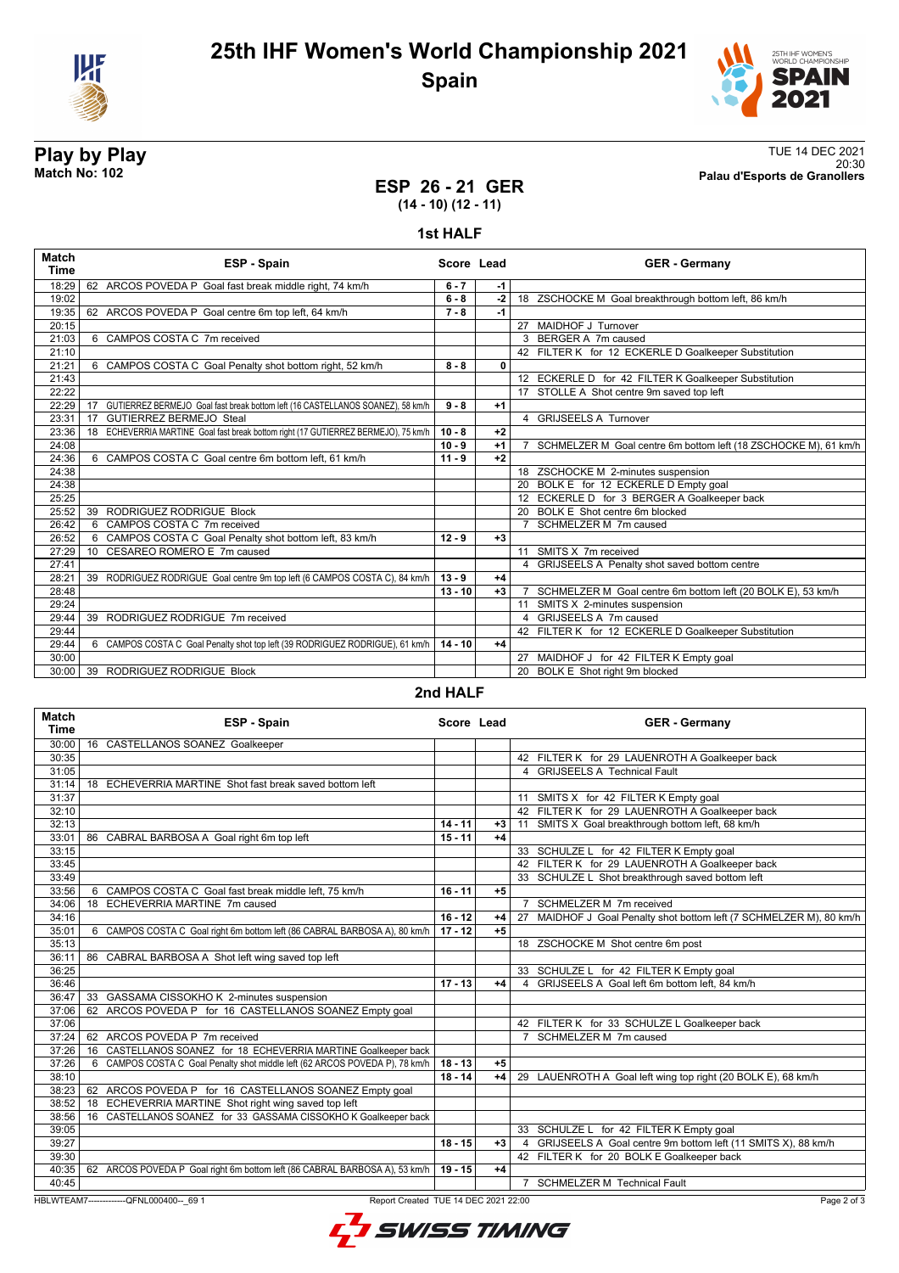



20:30 **Match No: 102 Palau d'Esports de Granollers**

# **Play by Play**<br>Match No: 102<br>Palau d'Esports de Granollers<br>Palau d'Esports de Granollers

### **ESP 26 - 21 GER (14 - 10) (12 - 11)**

**1st HALF**

| 62 ARCOS POVEDA P Goal fast break middle right, 74 km/h<br>18:29<br>$6 - 7$<br>$-1$<br>19:02<br>$6 - 8$<br>$-2$<br>18 ZSCHOCKE M Goal breakthrough bottom left, 86 km/h<br>62 ARCOS POVEDA P Goal centre 6m top left, 64 km/h<br>$7 - 8$<br>$-1$<br>19:35<br>27 MAIDHOF J Turnover<br>20:15<br>6 CAMPOS COSTA C 7m received<br>3 BERGER A 7m caused<br>21:03<br>21:10<br>42 FILTER K for 12 ECKERLE D Goalkeeper Substitution<br>21:21<br>6 CAMPOS COSTA C Goal Penalty shot bottom right, 52 km/h<br>$8 - 8$<br>$\mathbf{0}$<br>12 ECKERLE D for 42 FILTER K Goalkeeper Substitution<br>21:43<br>17 STOLLE A Shot centre 9m saved top left<br>22:22<br>GUTIERREZ BERMEJO Goal fast break bottom left (16 CASTELLANOS SOANEZ), 58 km/h<br>22:29<br>$9 - 8$<br>$+1$<br>17<br>4 GRIJSEELS A Turnover<br><b>GUTIERREZ BERMEJO Steal</b><br>23:31<br>17<br>18 ECHEVERRIA MARTINE Goal fast break bottom right (17 GUTIERREZ BERMEJO), 75 km/h<br>$10 - 8$<br>$+2$<br>23:36<br>24:08<br>$10 - 9$<br>7 SCHMELZER M Goal centre 6m bottom left (18 ZSCHOCKE M), 61 km/h<br>$+1$<br>6 CAMPOS COSTA C Goal centre 6m bottom left, 61 km/h<br>$+2$<br>24:36<br>$11 - 9$<br>18 ZSCHOCKE M 2-minutes suspension<br>24:38<br>20 BOLK E for 12 ECKERLE D Empty goal<br>24:38<br>12 ECKERLE D for 3 BERGER A Goalkeeper back<br>25:25<br>25:52<br>39 RODRIGUEZ RODRIGUE Block<br>20 BOLK E Shot centre 6m blocked<br>6 CAMPOS COSTA C 7m received<br>7 SCHMELZER M 7m caused<br>26:42<br>26:52<br>6 CAMPOS COSTA C Goal Penalty shot bottom left, 83 km/h<br>$12 - 9$<br>$+3$<br>11 SMITS X 7m received<br>10 CESAREO ROMERO E 7m caused<br>27:29<br>4 GRIJSEELS A Penalty shot saved bottom centre<br>27:41<br>RODRIGUEZ RODRIGUE Goal centre 9m top left (6 CAMPOS COSTA C), 84 km/h<br>$13 - 9$<br>28:21<br>39<br>$+4$<br>28:48<br>$13 - 10$<br>$+3$<br>SCHMELZER M Goal centre 6m bottom left (20 BOLK E), 53 km/h<br>29:24<br>11 SMITS X 2-minutes suspension<br>39 RODRIGUEZ RODRIGUE 7m received<br>4 GRIJSEELS A 7m caused<br>29:44<br>42 FILTER K for 12 ECKERLE D Goalkeeper Substitution<br>29:44<br>29:44<br>6 CAMPOS COSTA C Goal Penalty shot top left (39 RODRIGUEZ RODRIGUE), 61 km/h<br>$14 - 10$<br>$+4$<br>27 MAIDHOF J for 42 FILTER K Empty goal<br>30:00 | <b>Match</b><br><b>Time</b> | ESP - Spain                 | Score Lead | <b>GER</b> - Germany               |
|-----------------------------------------------------------------------------------------------------------------------------------------------------------------------------------------------------------------------------------------------------------------------------------------------------------------------------------------------------------------------------------------------------------------------------------------------------------------------------------------------------------------------------------------------------------------------------------------------------------------------------------------------------------------------------------------------------------------------------------------------------------------------------------------------------------------------------------------------------------------------------------------------------------------------------------------------------------------------------------------------------------------------------------------------------------------------------------------------------------------------------------------------------------------------------------------------------------------------------------------------------------------------------------------------------------------------------------------------------------------------------------------------------------------------------------------------------------------------------------------------------------------------------------------------------------------------------------------------------------------------------------------------------------------------------------------------------------------------------------------------------------------------------------------------------------------------------------------------------------------------------------------------------------------------------------------------------------------------------------------------------------------------------------------------------------------------------------------------------------------------------------------------------------------------------------------------------------------------------------------------------------------|-----------------------------|-----------------------------|------------|------------------------------------|
|                                                                                                                                                                                                                                                                                                                                                                                                                                                                                                                                                                                                                                                                                                                                                                                                                                                                                                                                                                                                                                                                                                                                                                                                                                                                                                                                                                                                                                                                                                                                                                                                                                                                                                                                                                                                                                                                                                                                                                                                                                                                                                                                                                                                                                                                 |                             |                             |            |                                    |
|                                                                                                                                                                                                                                                                                                                                                                                                                                                                                                                                                                                                                                                                                                                                                                                                                                                                                                                                                                                                                                                                                                                                                                                                                                                                                                                                                                                                                                                                                                                                                                                                                                                                                                                                                                                                                                                                                                                                                                                                                                                                                                                                                                                                                                                                 |                             |                             |            |                                    |
|                                                                                                                                                                                                                                                                                                                                                                                                                                                                                                                                                                                                                                                                                                                                                                                                                                                                                                                                                                                                                                                                                                                                                                                                                                                                                                                                                                                                                                                                                                                                                                                                                                                                                                                                                                                                                                                                                                                                                                                                                                                                                                                                                                                                                                                                 |                             |                             |            |                                    |
|                                                                                                                                                                                                                                                                                                                                                                                                                                                                                                                                                                                                                                                                                                                                                                                                                                                                                                                                                                                                                                                                                                                                                                                                                                                                                                                                                                                                                                                                                                                                                                                                                                                                                                                                                                                                                                                                                                                                                                                                                                                                                                                                                                                                                                                                 |                             |                             |            |                                    |
|                                                                                                                                                                                                                                                                                                                                                                                                                                                                                                                                                                                                                                                                                                                                                                                                                                                                                                                                                                                                                                                                                                                                                                                                                                                                                                                                                                                                                                                                                                                                                                                                                                                                                                                                                                                                                                                                                                                                                                                                                                                                                                                                                                                                                                                                 |                             |                             |            |                                    |
|                                                                                                                                                                                                                                                                                                                                                                                                                                                                                                                                                                                                                                                                                                                                                                                                                                                                                                                                                                                                                                                                                                                                                                                                                                                                                                                                                                                                                                                                                                                                                                                                                                                                                                                                                                                                                                                                                                                                                                                                                                                                                                                                                                                                                                                                 |                             |                             |            |                                    |
|                                                                                                                                                                                                                                                                                                                                                                                                                                                                                                                                                                                                                                                                                                                                                                                                                                                                                                                                                                                                                                                                                                                                                                                                                                                                                                                                                                                                                                                                                                                                                                                                                                                                                                                                                                                                                                                                                                                                                                                                                                                                                                                                                                                                                                                                 |                             |                             |            |                                    |
|                                                                                                                                                                                                                                                                                                                                                                                                                                                                                                                                                                                                                                                                                                                                                                                                                                                                                                                                                                                                                                                                                                                                                                                                                                                                                                                                                                                                                                                                                                                                                                                                                                                                                                                                                                                                                                                                                                                                                                                                                                                                                                                                                                                                                                                                 |                             |                             |            |                                    |
|                                                                                                                                                                                                                                                                                                                                                                                                                                                                                                                                                                                                                                                                                                                                                                                                                                                                                                                                                                                                                                                                                                                                                                                                                                                                                                                                                                                                                                                                                                                                                                                                                                                                                                                                                                                                                                                                                                                                                                                                                                                                                                                                                                                                                                                                 |                             |                             |            |                                    |
|                                                                                                                                                                                                                                                                                                                                                                                                                                                                                                                                                                                                                                                                                                                                                                                                                                                                                                                                                                                                                                                                                                                                                                                                                                                                                                                                                                                                                                                                                                                                                                                                                                                                                                                                                                                                                                                                                                                                                                                                                                                                                                                                                                                                                                                                 |                             |                             |            |                                    |
|                                                                                                                                                                                                                                                                                                                                                                                                                                                                                                                                                                                                                                                                                                                                                                                                                                                                                                                                                                                                                                                                                                                                                                                                                                                                                                                                                                                                                                                                                                                                                                                                                                                                                                                                                                                                                                                                                                                                                                                                                                                                                                                                                                                                                                                                 |                             |                             |            |                                    |
|                                                                                                                                                                                                                                                                                                                                                                                                                                                                                                                                                                                                                                                                                                                                                                                                                                                                                                                                                                                                                                                                                                                                                                                                                                                                                                                                                                                                                                                                                                                                                                                                                                                                                                                                                                                                                                                                                                                                                                                                                                                                                                                                                                                                                                                                 |                             |                             |            |                                    |
|                                                                                                                                                                                                                                                                                                                                                                                                                                                                                                                                                                                                                                                                                                                                                                                                                                                                                                                                                                                                                                                                                                                                                                                                                                                                                                                                                                                                                                                                                                                                                                                                                                                                                                                                                                                                                                                                                                                                                                                                                                                                                                                                                                                                                                                                 |                             |                             |            |                                    |
|                                                                                                                                                                                                                                                                                                                                                                                                                                                                                                                                                                                                                                                                                                                                                                                                                                                                                                                                                                                                                                                                                                                                                                                                                                                                                                                                                                                                                                                                                                                                                                                                                                                                                                                                                                                                                                                                                                                                                                                                                                                                                                                                                                                                                                                                 |                             |                             |            |                                    |
|                                                                                                                                                                                                                                                                                                                                                                                                                                                                                                                                                                                                                                                                                                                                                                                                                                                                                                                                                                                                                                                                                                                                                                                                                                                                                                                                                                                                                                                                                                                                                                                                                                                                                                                                                                                                                                                                                                                                                                                                                                                                                                                                                                                                                                                                 |                             |                             |            |                                    |
|                                                                                                                                                                                                                                                                                                                                                                                                                                                                                                                                                                                                                                                                                                                                                                                                                                                                                                                                                                                                                                                                                                                                                                                                                                                                                                                                                                                                                                                                                                                                                                                                                                                                                                                                                                                                                                                                                                                                                                                                                                                                                                                                                                                                                                                                 |                             |                             |            |                                    |
|                                                                                                                                                                                                                                                                                                                                                                                                                                                                                                                                                                                                                                                                                                                                                                                                                                                                                                                                                                                                                                                                                                                                                                                                                                                                                                                                                                                                                                                                                                                                                                                                                                                                                                                                                                                                                                                                                                                                                                                                                                                                                                                                                                                                                                                                 |                             |                             |            |                                    |
|                                                                                                                                                                                                                                                                                                                                                                                                                                                                                                                                                                                                                                                                                                                                                                                                                                                                                                                                                                                                                                                                                                                                                                                                                                                                                                                                                                                                                                                                                                                                                                                                                                                                                                                                                                                                                                                                                                                                                                                                                                                                                                                                                                                                                                                                 |                             |                             |            |                                    |
|                                                                                                                                                                                                                                                                                                                                                                                                                                                                                                                                                                                                                                                                                                                                                                                                                                                                                                                                                                                                                                                                                                                                                                                                                                                                                                                                                                                                                                                                                                                                                                                                                                                                                                                                                                                                                                                                                                                                                                                                                                                                                                                                                                                                                                                                 |                             |                             |            |                                    |
|                                                                                                                                                                                                                                                                                                                                                                                                                                                                                                                                                                                                                                                                                                                                                                                                                                                                                                                                                                                                                                                                                                                                                                                                                                                                                                                                                                                                                                                                                                                                                                                                                                                                                                                                                                                                                                                                                                                                                                                                                                                                                                                                                                                                                                                                 |                             |                             |            |                                    |
|                                                                                                                                                                                                                                                                                                                                                                                                                                                                                                                                                                                                                                                                                                                                                                                                                                                                                                                                                                                                                                                                                                                                                                                                                                                                                                                                                                                                                                                                                                                                                                                                                                                                                                                                                                                                                                                                                                                                                                                                                                                                                                                                                                                                                                                                 |                             |                             |            |                                    |
|                                                                                                                                                                                                                                                                                                                                                                                                                                                                                                                                                                                                                                                                                                                                                                                                                                                                                                                                                                                                                                                                                                                                                                                                                                                                                                                                                                                                                                                                                                                                                                                                                                                                                                                                                                                                                                                                                                                                                                                                                                                                                                                                                                                                                                                                 |                             |                             |            |                                    |
|                                                                                                                                                                                                                                                                                                                                                                                                                                                                                                                                                                                                                                                                                                                                                                                                                                                                                                                                                                                                                                                                                                                                                                                                                                                                                                                                                                                                                                                                                                                                                                                                                                                                                                                                                                                                                                                                                                                                                                                                                                                                                                                                                                                                                                                                 |                             |                             |            |                                    |
|                                                                                                                                                                                                                                                                                                                                                                                                                                                                                                                                                                                                                                                                                                                                                                                                                                                                                                                                                                                                                                                                                                                                                                                                                                                                                                                                                                                                                                                                                                                                                                                                                                                                                                                                                                                                                                                                                                                                                                                                                                                                                                                                                                                                                                                                 |                             |                             |            |                                    |
|                                                                                                                                                                                                                                                                                                                                                                                                                                                                                                                                                                                                                                                                                                                                                                                                                                                                                                                                                                                                                                                                                                                                                                                                                                                                                                                                                                                                                                                                                                                                                                                                                                                                                                                                                                                                                                                                                                                                                                                                                                                                                                                                                                                                                                                                 |                             |                             |            |                                    |
|                                                                                                                                                                                                                                                                                                                                                                                                                                                                                                                                                                                                                                                                                                                                                                                                                                                                                                                                                                                                                                                                                                                                                                                                                                                                                                                                                                                                                                                                                                                                                                                                                                                                                                                                                                                                                                                                                                                                                                                                                                                                                                                                                                                                                                                                 |                             |                             |            |                                    |
|                                                                                                                                                                                                                                                                                                                                                                                                                                                                                                                                                                                                                                                                                                                                                                                                                                                                                                                                                                                                                                                                                                                                                                                                                                                                                                                                                                                                                                                                                                                                                                                                                                                                                                                                                                                                                                                                                                                                                                                                                                                                                                                                                                                                                                                                 |                             |                             |            |                                    |
|                                                                                                                                                                                                                                                                                                                                                                                                                                                                                                                                                                                                                                                                                                                                                                                                                                                                                                                                                                                                                                                                                                                                                                                                                                                                                                                                                                                                                                                                                                                                                                                                                                                                                                                                                                                                                                                                                                                                                                                                                                                                                                                                                                                                                                                                 |                             |                             |            |                                    |
|                                                                                                                                                                                                                                                                                                                                                                                                                                                                                                                                                                                                                                                                                                                                                                                                                                                                                                                                                                                                                                                                                                                                                                                                                                                                                                                                                                                                                                                                                                                                                                                                                                                                                                                                                                                                                                                                                                                                                                                                                                                                                                                                                                                                                                                                 |                             |                             |            |                                    |
|                                                                                                                                                                                                                                                                                                                                                                                                                                                                                                                                                                                                                                                                                                                                                                                                                                                                                                                                                                                                                                                                                                                                                                                                                                                                                                                                                                                                                                                                                                                                                                                                                                                                                                                                                                                                                                                                                                                                                                                                                                                                                                                                                                                                                                                                 | 30:00                       | 39 RODRIGUEZ RODRIGUE Block |            | BOLK E Shot right 9m blocked<br>20 |

**2nd HALF**

| <b>Match</b><br>Time | <b>ESP - Spain</b>                                                               | Score Lead |      | <b>GER - Germany</b>                                                |
|----------------------|----------------------------------------------------------------------------------|------------|------|---------------------------------------------------------------------|
| 30:00                | 16 CASTELLANOS SOANEZ Goalkeeper                                                 |            |      |                                                                     |
| 30:35                |                                                                                  |            |      | 42 FILTER K for 29 LAUENROTH A Goalkeeper back                      |
| 31:05                |                                                                                  |            |      | 4 GRIJSEELS A Technical Fault                                       |
| 31:14                | 18 ECHEVERRIA MARTINE Shot fast break saved bottom left                          |            |      |                                                                     |
| 31:37                |                                                                                  |            |      | 11 SMITS X for 42 FILTER K Empty goal                               |
| 32:10                |                                                                                  |            |      | 42 FILTER K for 29 LAUENROTH A Goalkeeper back                      |
| 32:13                |                                                                                  | $14 - 11$  | +3   | 11 SMITS X Goal breakthrough bottom left, 68 km/h                   |
| 33:01                | 86 CABRAL BARBOSA A Goal right 6m top left                                       | $15 - 11$  | +4   |                                                                     |
| 33:15                |                                                                                  |            |      | 33 SCHULZE L for 42 FILTER K Empty goal                             |
| 33:45                |                                                                                  |            |      | 42 FILTER K for 29 LAUENROTH A Goalkeeper back                      |
| 33:49                |                                                                                  |            |      | 33 SCHULZE L Shot breakthrough saved bottom left                    |
| 33:56                | 6 CAMPOS COSTA C Goal fast break middle left, 75 km/h                            | $16 - 11$  | $+5$ |                                                                     |
| 34:06                | 18 ECHEVERRIA MARTINE 7m caused                                                  |            |      | 7 SCHMELZER M 7m received                                           |
| 34:16                |                                                                                  | $16 - 12$  | +4   | 27 MAIDHOF J Goal Penalty shot bottom left (7 SCHMELZER M), 80 km/h |
| 35:01                | 6 CAMPOS COSTA C Goal right 6m bottom left (86 CABRAL BARBOSA A), 80 km/h        | $17 - 12$  | $+5$ |                                                                     |
| 35:13                |                                                                                  |            |      | 18 ZSCHOCKE M Shot centre 6m post                                   |
| 36:11                | 86 CABRAL BARBOSA A Shot left wing saved top left                                |            |      |                                                                     |
| 36:25                |                                                                                  |            |      | 33 SCHULZE L for 42 FILTER K Empty goal                             |
| 36:46                |                                                                                  | $17 - 13$  | +4   | 4 GRIJSEELS A Goal left 6m bottom left, 84 km/h                     |
| 36:47                | 33 GASSAMA CISSOKHO K 2-minutes suspension                                       |            |      |                                                                     |
| 37:06                | 62 ARCOS POVEDA P for 16 CASTELLANOS SOANEZ Empty goal                           |            |      |                                                                     |
| 37:06                |                                                                                  |            |      | 42 FILTER K for 33 SCHULZE L Goalkeeper back                        |
| 37:24                | 62 ARCOS POVEDA P 7m received                                                    |            |      | 7 SCHMELZER M 7m caused                                             |
| 37:26                | 16 CASTELLANOS SOANEZ for 18 ECHEVERRIA MARTINE Goalkeeper back                  |            |      |                                                                     |
| 37:26                | 6 CAMPOS COSTA C Goal Penalty shot middle left (62 ARCOS POVEDA P), 78 km/h      | $18 - 13$  | $+5$ |                                                                     |
| 38:10                |                                                                                  | $18 - 14$  | $+4$ | 29 LAUENROTH A Goal left wing top right (20 BOLK E), 68 km/h        |
| 38:23                | 62 ARCOS POVEDA P for 16 CASTELLANOS SOANEZ Empty goal                           |            |      |                                                                     |
| 38:52                | ECHEVERRIA MARTINE Shot right wing saved top left<br>18                          |            |      |                                                                     |
| 38:56                | 16 CASTELLANOS SOANEZ for 33 GASSAMA CISSOKHO K Goalkeeper back                  |            |      |                                                                     |
| 39:05                |                                                                                  |            |      | 33 SCHULZE L for 42 FILTER K Empty goal                             |
| 39:27                |                                                                                  | $18 - 15$  | $+3$ | 4 GRIJSEELS A Goal centre 9m bottom left (11 SMITS X), 88 km/h      |
| 39:30                |                                                                                  |            |      | 42 FILTER K for 20 BOLK E Goalkeeper back                           |
| 40:35                | 62 ARCOS POVEDA P Goal right 6m bottom left (86 CABRAL BARBOSA A), 53 km/h       | $19 - 15$  | $+4$ |                                                                     |
| 40:45                |                                                                                  |            |      | 7 SCHMELZER M Technical Fault                                       |
|                      | HBLWTEAM7--------------QFNL000400-- 69 1<br>Report Created TUE 14 DEC 2021 22:00 |            |      | Page 2 of 3                                                         |